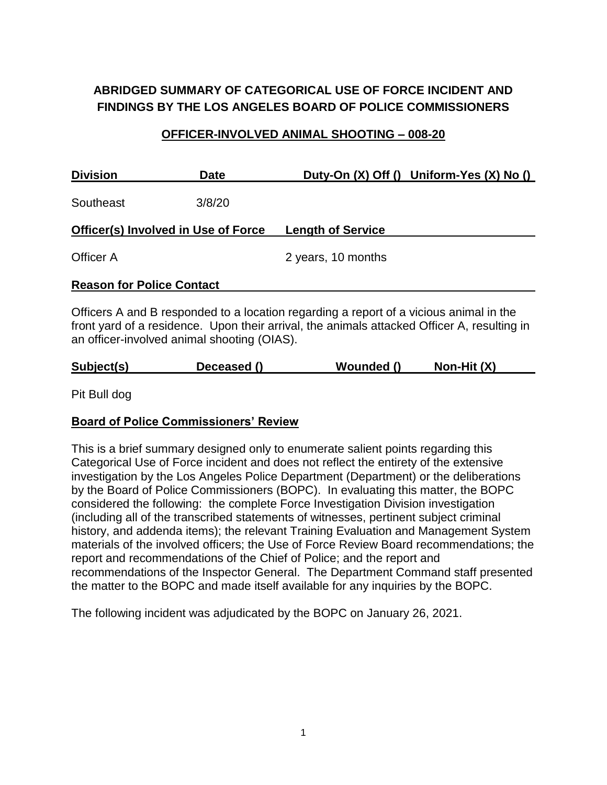# **ABRIDGED SUMMARY OF CATEGORICAL USE OF FORCE INCIDENT AND FINDINGS BY THE LOS ANGELES BOARD OF POLICE COMMISSIONERS**

#### **OFFICER-INVOLVED ANIMAL SHOOTING – 008-20**

| <b>Division</b>                  | <b>Date</b>                                | Duty-On (X) Off () Uniform-Yes (X) No ()                                               |
|----------------------------------|--------------------------------------------|----------------------------------------------------------------------------------------|
| Southeast                        | 3/8/20                                     |                                                                                        |
|                                  | <b>Officer(s) Involved in Use of Force</b> | <b>Length of Service</b>                                                               |
| Officer A                        |                                            | 2 years, 10 months                                                                     |
| <b>Reason for Police Contact</b> |                                            |                                                                                        |
|                                  |                                            | Officers A and B responded to a location regarding a report of a vicious animal in the |

front yard of a residence. Upon their arrival, the animals attacked Officer A, resulting in an officer-involved animal shooting (OIAS).

| Subject(s) | Deceased () | Wounded () | Non-Hit (X) |
|------------|-------------|------------|-------------|
|            |             |            |             |

Pit Bull dog

#### **Board of Police Commissioners' Review**

This is a brief summary designed only to enumerate salient points regarding this Categorical Use of Force incident and does not reflect the entirety of the extensive investigation by the Los Angeles Police Department (Department) or the deliberations by the Board of Police Commissioners (BOPC). In evaluating this matter, the BOPC considered the following: the complete Force Investigation Division investigation (including all of the transcribed statements of witnesses, pertinent subject criminal history, and addenda items); the relevant Training Evaluation and Management System materials of the involved officers; the Use of Force Review Board recommendations; the report and recommendations of the Chief of Police; and the report and recommendations of the Inspector General. The Department Command staff presented the matter to the BOPC and made itself available for any inquiries by the BOPC.

The following incident was adjudicated by the BOPC on January 26, 2021.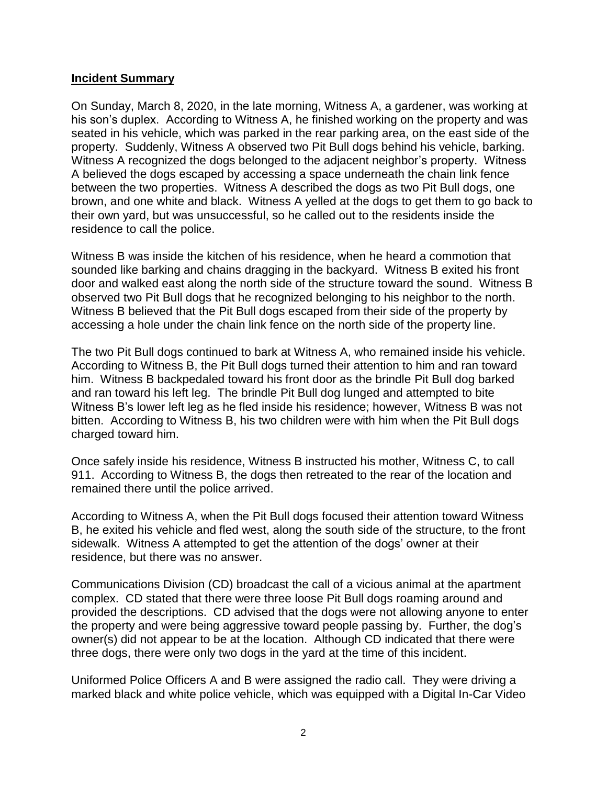#### **Incident Summary**

On Sunday, March 8, 2020, in the late morning, Witness A, a gardener, was working at his son's duplex. According to Witness A, he finished working on the property and was seated in his vehicle, which was parked in the rear parking area, on the east side of the property. Suddenly, Witness A observed two Pit Bull dogs behind his vehicle, barking. Witness A recognized the dogs belonged to the adjacent neighbor's property. Witness A believed the dogs escaped by accessing a space underneath the chain link fence between the two properties. Witness A described the dogs as two Pit Bull dogs, one brown, and one white and black. Witness A yelled at the dogs to get them to go back to their own yard, but was unsuccessful, so he called out to the residents inside the residence to call the police.

Witness B was inside the kitchen of his residence, when he heard a commotion that sounded like barking and chains dragging in the backyard. Witness B exited his front door and walked east along the north side of the structure toward the sound. Witness B observed two Pit Bull dogs that he recognized belonging to his neighbor to the north. Witness B believed that the Pit Bull dogs escaped from their side of the property by accessing a hole under the chain link fence on the north side of the property line.

The two Pit Bull dogs continued to bark at Witness A, who remained inside his vehicle. According to Witness B, the Pit Bull dogs turned their attention to him and ran toward him. Witness B backpedaled toward his front door as the brindle Pit Bull dog barked and ran toward his left leg. The brindle Pit Bull dog lunged and attempted to bite Witness B's lower left leg as he fled inside his residence; however, Witness B was not bitten. According to Witness B, his two children were with him when the Pit Bull dogs charged toward him.

Once safely inside his residence, Witness B instructed his mother, Witness C, to call 911. According to Witness B, the dogs then retreated to the rear of the location and remained there until the police arrived.

According to Witness A, when the Pit Bull dogs focused their attention toward Witness B, he exited his vehicle and fled west, along the south side of the structure, to the front sidewalk. Witness A attempted to get the attention of the dogs' owner at their residence, but there was no answer.

Communications Division (CD) broadcast the call of a vicious animal at the apartment complex. CD stated that there were three loose Pit Bull dogs roaming around and provided the descriptions. CD advised that the dogs were not allowing anyone to enter the property and were being aggressive toward people passing by. Further, the dog's owner(s) did not appear to be at the location. Although CD indicated that there were three dogs, there were only two dogs in the yard at the time of this incident.

Uniformed Police Officers A and B were assigned the radio call. They were driving a marked black and white police vehicle, which was equipped with a Digital In-Car Video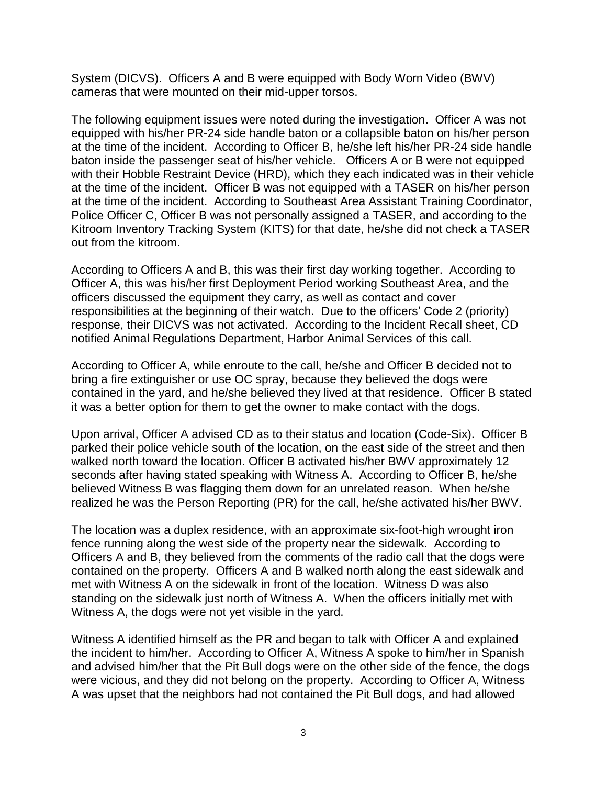System (DICVS). Officers A and B were equipped with Body Worn Video (BWV) cameras that were mounted on their mid-upper torsos.

The following equipment issues were noted during the investigation. Officer A was not equipped with his/her PR-24 side handle baton or a collapsible baton on his/her person at the time of the incident. According to Officer B, he/she left his/her PR-24 side handle baton inside the passenger seat of his/her vehicle. Officers A or B were not equipped with their Hobble Restraint Device (HRD), which they each indicated was in their vehicle at the time of the incident. Officer B was not equipped with a TASER on his/her person at the time of the incident. According to Southeast Area Assistant Training Coordinator, Police Officer C, Officer B was not personally assigned a TASER, and according to the Kitroom Inventory Tracking System (KITS) for that date, he/she did not check a TASER out from the kitroom.

According to Officers A and B, this was their first day working together. According to Officer A, this was his/her first Deployment Period working Southeast Area, and the officers discussed the equipment they carry, as well as contact and cover responsibilities at the beginning of their watch. Due to the officers' Code 2 (priority) response, their DICVS was not activated. According to the Incident Recall sheet, CD notified Animal Regulations Department, Harbor Animal Services of this call.

According to Officer A, while enroute to the call, he/she and Officer B decided not to bring a fire extinguisher or use OC spray, because they believed the dogs were contained in the yard, and he/she believed they lived at that residence. Officer B stated it was a better option for them to get the owner to make contact with the dogs.

Upon arrival, Officer A advised CD as to their status and location (Code-Six). Officer B parked their police vehicle south of the location, on the east side of the street and then walked north toward the location. Officer B activated his/her BWV approximately 12 seconds after having stated speaking with Witness A. According to Officer B, he/she believed Witness B was flagging them down for an unrelated reason. When he/she realized he was the Person Reporting (PR) for the call, he/she activated his/her BWV.

The location was a duplex residence, with an approximate six-foot-high wrought iron fence running along the west side of the property near the sidewalk. According to Officers A and B, they believed from the comments of the radio call that the dogs were contained on the property. Officers A and B walked north along the east sidewalk and met with Witness A on the sidewalk in front of the location. Witness D was also standing on the sidewalk just north of Witness A. When the officers initially met with Witness A, the dogs were not yet visible in the yard.

Witness A identified himself as the PR and began to talk with Officer A and explained the incident to him/her. According to Officer A, Witness A spoke to him/her in Spanish and advised him/her that the Pit Bull dogs were on the other side of the fence, the dogs were vicious, and they did not belong on the property. According to Officer A, Witness A was upset that the neighbors had not contained the Pit Bull dogs, and had allowed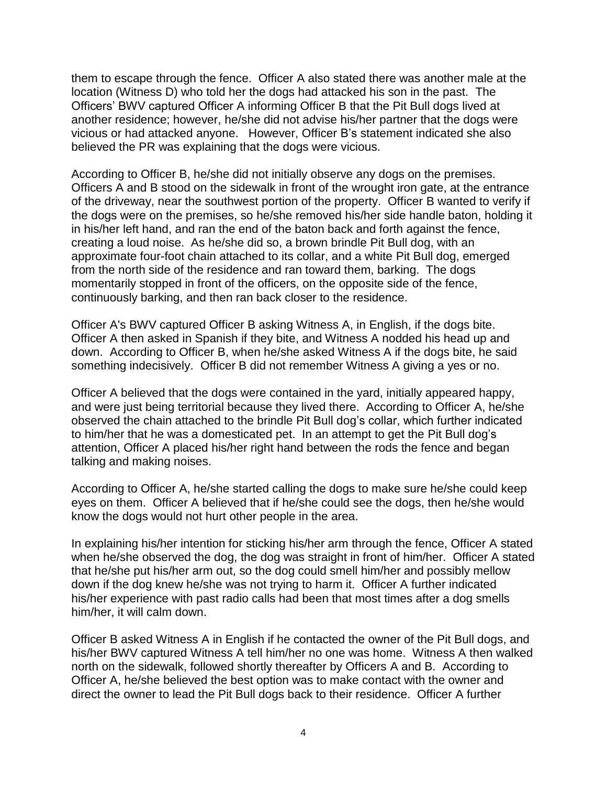them to escape through the fence. Officer A also stated there was another male at the location (Witness D) who told her the dogs had attacked his son in the past. The Officers' BWV captured Officer A informing Officer B that the Pit Bull dogs lived at another residence; however, he/she did not advise his/her partner that the dogs were vicious or had attacked anyone. However, Officer B's statement indicated she also believed the PR was explaining that the dogs were vicious.

According to Officer B, he/she did not initially observe any dogs on the premises. Officers A and B stood on the sidewalk in front of the wrought iron gate, at the entrance of the driveway, near the southwest portion of the property. Officer B wanted to verify if the dogs were on the premises, so he/she removed his/her side handle baton, holding it in his/her left hand, and ran the end of the baton back and forth against the fence, creating a loud noise. As he/she did so, a brown brindle Pit Bull dog, with an approximate four-foot chain attached to its collar, and a white Pit Bull dog, emerged from the north side of the residence and ran toward them, barking. The dogs momentarily stopped in front of the officers, on the opposite side of the fence, continuously barking, and then ran back closer to the residence.

Officer A's BWV captured Officer B asking Witness A, in English, if the dogs bite. Officer A then asked in Spanish if they bite, and Witness A nodded his head up and down. According to Officer B, when he/she asked Witness A if the dogs bite, he said something indecisively. Officer B did not remember Witness A giving a yes or no.

Officer A believed that the dogs were contained in the yard, initially appeared happy, and were just being territorial because they lived there. According to Officer A, he/she observed the chain attached to the brindle Pit Bull dog's collar, which further indicated to him/her that he was a domesticated pet. In an attempt to get the Pit Bull dog's attention, Officer A placed his/her right hand between the rods the fence and began talking and making noises.

According to Officer A, he/she started calling the dogs to make sure he/she could keep eyes on them. Officer A believed that if he/she could see the dogs, then he/she would know the dogs would not hurt other people in the area.

In explaining his/her intention for sticking his/her arm through the fence, Officer A stated when he/she observed the dog, the dog was straight in front of him/her. Officer A stated that he/she put his/her arm out, so the dog could smell him/her and possibly mellow down if the dog knew he/she was not trying to harm it. Officer A further indicated his/her experience with past radio calls had been that most times after a dog smells him/her, it will calm down.

Officer B asked Witness A in English if he contacted the owner of the Pit Bull dogs, and his/her BWV captured Witness A tell him/her no one was home. Witness A then walked north on the sidewalk, followed shortly thereafter by Officers A and B. According to Officer A, he/she believed the best option was to make contact with the owner and direct the owner to lead the Pit Bull dogs back to their residence. Officer A further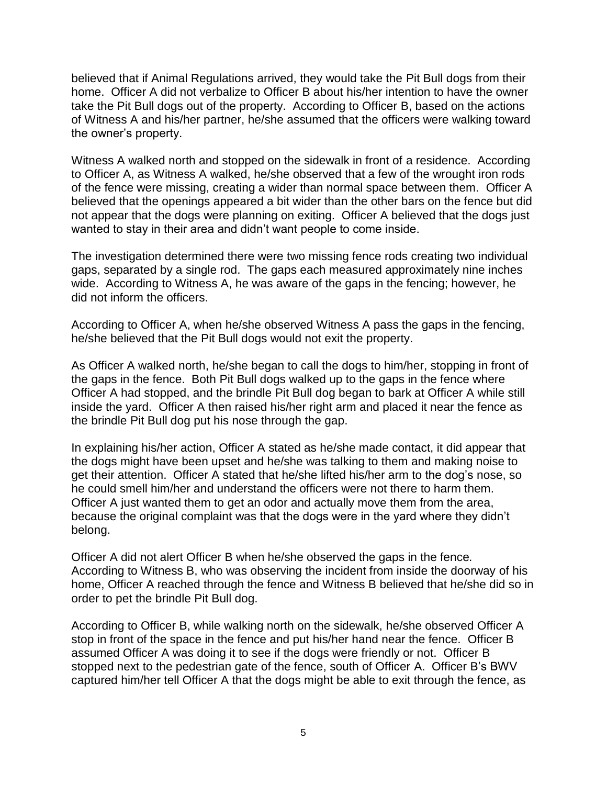believed that if Animal Regulations arrived, they would take the Pit Bull dogs from their home. Officer A did not verbalize to Officer B about his/her intention to have the owner take the Pit Bull dogs out of the property. According to Officer B, based on the actions of Witness A and his/her partner, he/she assumed that the officers were walking toward the owner's property.

Witness A walked north and stopped on the sidewalk in front of a residence. According to Officer A, as Witness A walked, he/she observed that a few of the wrought iron rods of the fence were missing, creating a wider than normal space between them. Officer A believed that the openings appeared a bit wider than the other bars on the fence but did not appear that the dogs were planning on exiting. Officer A believed that the dogs just wanted to stay in their area and didn't want people to come inside.

The investigation determined there were two missing fence rods creating two individual gaps, separated by a single rod. The gaps each measured approximately nine inches wide. According to Witness A, he was aware of the gaps in the fencing; however, he did not inform the officers.

According to Officer A, when he/she observed Witness A pass the gaps in the fencing, he/she believed that the Pit Bull dogs would not exit the property.

As Officer A walked north, he/she began to call the dogs to him/her, stopping in front of the gaps in the fence. Both Pit Bull dogs walked up to the gaps in the fence where Officer A had stopped, and the brindle Pit Bull dog began to bark at Officer A while still inside the yard. Officer A then raised his/her right arm and placed it near the fence as the brindle Pit Bull dog put his nose through the gap.

In explaining his/her action, Officer A stated as he/she made contact, it did appear that the dogs might have been upset and he/she was talking to them and making noise to get their attention. Officer A stated that he/she lifted his/her arm to the dog's nose, so he could smell him/her and understand the officers were not there to harm them. Officer A just wanted them to get an odor and actually move them from the area, because the original complaint was that the dogs were in the yard where they didn't belong.

Officer A did not alert Officer B when he/she observed the gaps in the fence*.* According to Witness B, who was observing the incident from inside the doorway of his home, Officer A reached through the fence and Witness B believed that he/she did so in order to pet the brindle Pit Bull dog.

According to Officer B, while walking north on the sidewalk, he/she observed Officer A stop in front of the space in the fence and put his/her hand near the fence. Officer B assumed Officer A was doing it to see if the dogs were friendly or not. Officer B stopped next to the pedestrian gate of the fence, south of Officer A. Officer B's BWV captured him/her tell Officer A that the dogs might be able to exit through the fence, as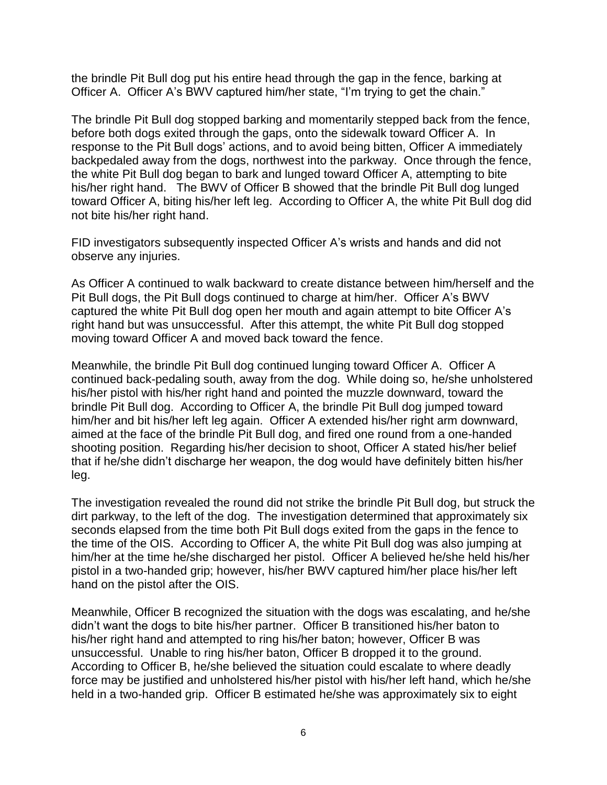the brindle Pit Bull dog put his entire head through the gap in the fence, barking at Officer A. Officer A's BWV captured him/her state, "I'm trying to get the chain."

The brindle Pit Bull dog stopped barking and momentarily stepped back from the fence, before both dogs exited through the gaps, onto the sidewalk toward Officer A. In response to the Pit Bull dogs' actions, and to avoid being bitten, Officer A immediately backpedaled away from the dogs, northwest into the parkway. Once through the fence, the white Pit Bull dog began to bark and lunged toward Officer A, attempting to bite his/her right hand. The BWV of Officer B showed that the brindle Pit Bull dog lunged toward Officer A, biting his/her left leg. According to Officer A, the white Pit Bull dog did not bite his/her right hand.

FID investigators subsequently inspected Officer A's wrists and hands and did not observe any injuries.

As Officer A continued to walk backward to create distance between him/herself and the Pit Bull dogs, the Pit Bull dogs continued to charge at him/her. Officer A's BWV captured the white Pit Bull dog open her mouth and again attempt to bite Officer A's right hand but was unsuccessful. After this attempt, the white Pit Bull dog stopped moving toward Officer A and moved back toward the fence.

Meanwhile, the brindle Pit Bull dog continued lunging toward Officer A. Officer A continued back-pedaling south, away from the dog. While doing so, he/she unholstered his/her pistol with his/her right hand and pointed the muzzle downward, toward the brindle Pit Bull dog. According to Officer A, the brindle Pit Bull dog jumped toward him/her and bit his/her left leg again. Officer A extended his/her right arm downward, aimed at the face of the brindle Pit Bull dog, and fired one round from a one-handed shooting position. Regarding his/her decision to shoot, Officer A stated his/her belief that if he/she didn't discharge her weapon, the dog would have definitely bitten his/her leg.

The investigation revealed the round did not strike the brindle Pit Bull dog, but struck the dirt parkway, to the left of the dog. The investigation determined that approximately six seconds elapsed from the time both Pit Bull dogs exited from the gaps in the fence to the time of the OIS. According to Officer A, the white Pit Bull dog was also jumping at him/her at the time he/she discharged her pistol. Officer A believed he/she held his/her pistol in a two-handed grip; however, his/her BWV captured him/her place his/her left hand on the pistol after the OIS.

Meanwhile, Officer B recognized the situation with the dogs was escalating, and he/she didn't want the dogs to bite his/her partner. Officer B transitioned his/her baton to his/her right hand and attempted to ring his/her baton; however, Officer B was unsuccessful. Unable to ring his/her baton, Officer B dropped it to the ground. According to Officer B, he/she believed the situation could escalate to where deadly force may be justified and unholstered his/her pistol with his/her left hand, which he/she held in a two-handed grip. Officer B estimated he/she was approximately six to eight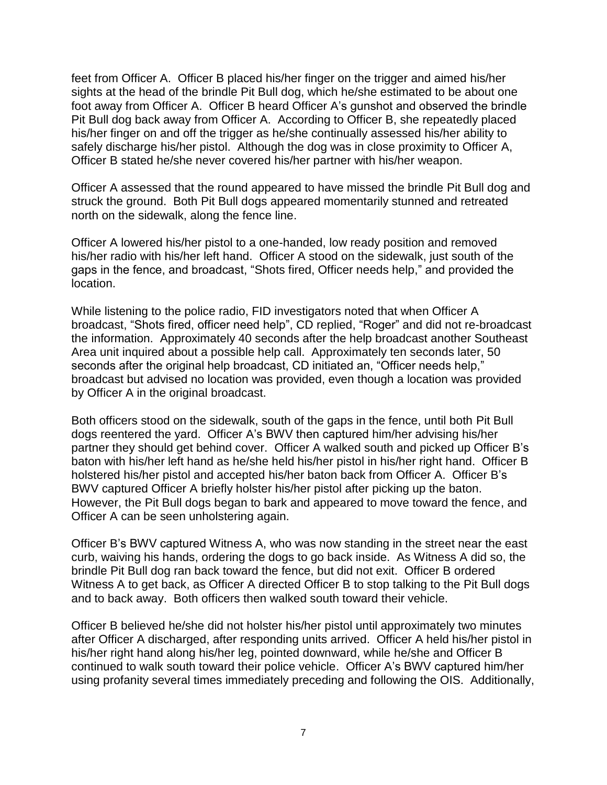feet from Officer A. Officer B placed his/her finger on the trigger and aimed his/her sights at the head of the brindle Pit Bull dog, which he/she estimated to be about one foot away from Officer A. Officer B heard Officer A's gunshot and observed the brindle Pit Bull dog back away from Officer A. According to Officer B, she repeatedly placed his/her finger on and off the trigger as he/she continually assessed his/her ability to safely discharge his/her pistol. Although the dog was in close proximity to Officer A, Officer B stated he/she never covered his/her partner with his/her weapon.

Officer A assessed that the round appeared to have missed the brindle Pit Bull dog and struck the ground. Both Pit Bull dogs appeared momentarily stunned and retreated north on the sidewalk, along the fence line.

Officer A lowered his/her pistol to a one-handed, low ready position and removed his/her radio with his/her left hand. Officer A stood on the sidewalk, just south of the gaps in the fence, and broadcast, "Shots fired, Officer needs help," and provided the location.

While listening to the police radio, FID investigators noted that when Officer A broadcast, "Shots fired, officer need help", CD replied, "Roger" and did not re-broadcast the information. Approximately 40 seconds after the help broadcast another Southeast Area unit inquired about a possible help call. Approximately ten seconds later, 50 seconds after the original help broadcast, CD initiated an, "Officer needs help," broadcast but advised no location was provided, even though a location was provided by Officer A in the original broadcast.

Both officers stood on the sidewalk, south of the gaps in the fence, until both Pit Bull dogs reentered the yard. Officer A's BWV then captured him/her advising his/her partner they should get behind cover. Officer A walked south and picked up Officer B's baton with his/her left hand as he/she held his/her pistol in his/her right hand. Officer B holstered his/her pistol and accepted his/her baton back from Officer A. Officer B's BWV captured Officer A briefly holster his/her pistol after picking up the baton. However, the Pit Bull dogs began to bark and appeared to move toward the fence, and Officer A can be seen unholstering again.

Officer B's BWV captured Witness A, who was now standing in the street near the east curb, waiving his hands, ordering the dogs to go back inside. As Witness A did so, the brindle Pit Bull dog ran back toward the fence, but did not exit. Officer B ordered Witness A to get back, as Officer A directed Officer B to stop talking to the Pit Bull dogs and to back away. Both officers then walked south toward their vehicle.

Officer B believed he/she did not holster his/her pistol until approximately two minutes after Officer A discharged, after responding units arrived. Officer A held his/her pistol in his/her right hand along his/her leg, pointed downward, while he/she and Officer B continued to walk south toward their police vehicle. Officer A's BWV captured him/her using profanity several times immediately preceding and following the OIS. Additionally,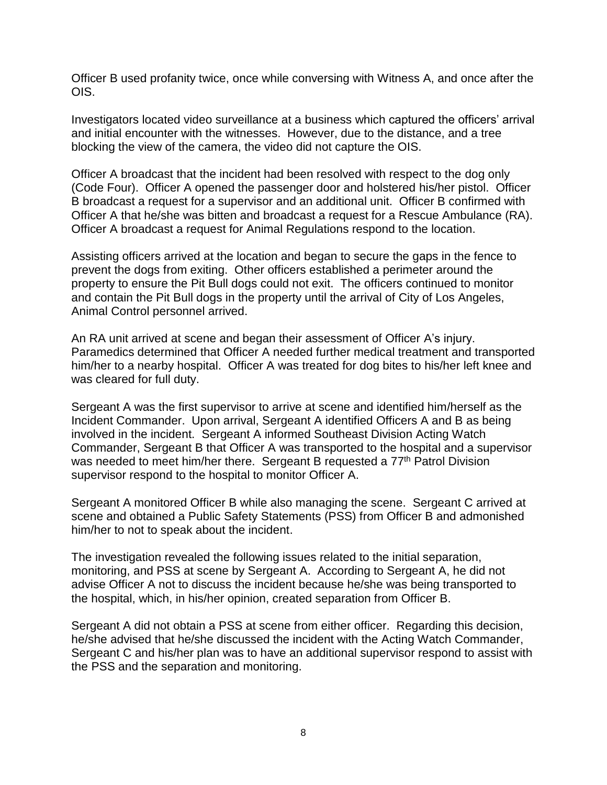Officer B used profanity twice, once while conversing with Witness A, and once after the OIS.

Investigators located video surveillance at a business which captured the officers' arrival and initial encounter with the witnesses. However, due to the distance, and a tree blocking the view of the camera, the video did not capture the OIS.

Officer A broadcast that the incident had been resolved with respect to the dog only (Code Four). Officer A opened the passenger door and holstered his/her pistol. Officer B broadcast a request for a supervisor and an additional unit. Officer B confirmed with Officer A that he/she was bitten and broadcast a request for a Rescue Ambulance (RA). Officer A broadcast a request for Animal Regulations respond to the location.

Assisting officers arrived at the location and began to secure the gaps in the fence to prevent the dogs from exiting. Other officers established a perimeter around the property to ensure the Pit Bull dogs could not exit. The officers continued to monitor and contain the Pit Bull dogs in the property until the arrival of City of Los Angeles, Animal Control personnel arrived.

An RA unit arrived at scene and began their assessment of Officer A's injury. Paramedics determined that Officer A needed further medical treatment and transported him/her to a nearby hospital. Officer A was treated for dog bites to his/her left knee and was cleared for full duty.

Sergeant A was the first supervisor to arrive at scene and identified him/herself as the Incident Commander. Upon arrival, Sergeant A identified Officers A and B as being involved in the incident. Sergeant A informed Southeast Division Acting Watch Commander, Sergeant B that Officer A was transported to the hospital and a supervisor was needed to meet him/her there. Sergeant B requested a 77<sup>th</sup> Patrol Division supervisor respond to the hospital to monitor Officer A.

Sergeant A monitored Officer B while also managing the scene. Sergeant C arrived at scene and obtained a Public Safety Statements (PSS) from Officer B and admonished him/her to not to speak about the incident.

The investigation revealed the following issues related to the initial separation, monitoring, and PSS at scene by Sergeant A. According to Sergeant A, he did not advise Officer A not to discuss the incident because he/she was being transported to the hospital, which, in his/her opinion, created separation from Officer B.

Sergeant A did not obtain a PSS at scene from either officer. Regarding this decision, he/she advised that he/she discussed the incident with the Acting Watch Commander, Sergeant C and his/her plan was to have an additional supervisor respond to assist with the PSS and the separation and monitoring.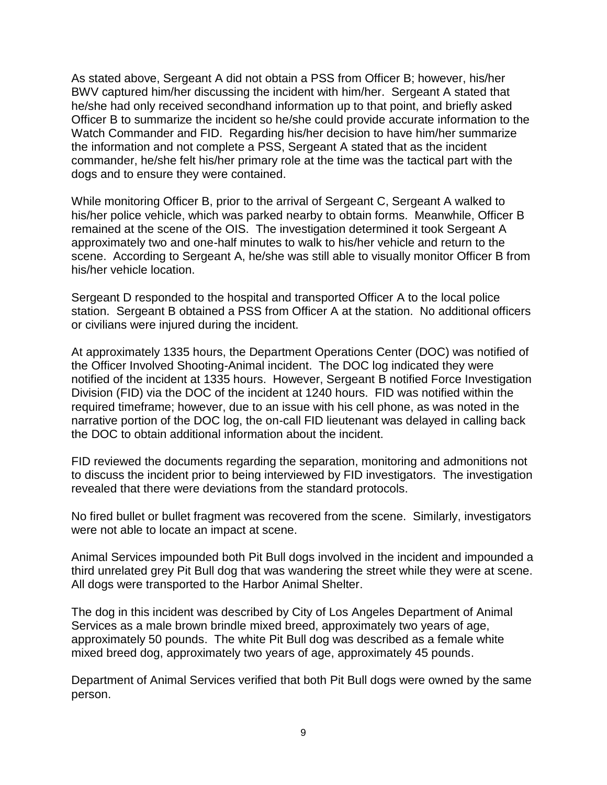As stated above, Sergeant A did not obtain a PSS from Officer B; however, his/her BWV captured him/her discussing the incident with him/her. Sergeant A stated that he/she had only received secondhand information up to that point, and briefly asked Officer B to summarize the incident so he/she could provide accurate information to the Watch Commander and FID. Regarding his/her decision to have him/her summarize the information and not complete a PSS, Sergeant A stated that as the incident commander, he/she felt his/her primary role at the time was the tactical part with the dogs and to ensure they were contained.

While monitoring Officer B, prior to the arrival of Sergeant C, Sergeant A walked to his/her police vehicle, which was parked nearby to obtain forms. Meanwhile, Officer B remained at the scene of the OIS. The investigation determined it took Sergeant A approximately two and one-half minutes to walk to his/her vehicle and return to the scene. According to Sergeant A, he/she was still able to visually monitor Officer B from his/her vehicle location.

Sergeant D responded to the hospital and transported Officer A to the local police station. Sergeant B obtained a PSS from Officer A at the station. No additional officers or civilians were injured during the incident.

At approximately 1335 hours, the Department Operations Center (DOC) was notified of the Officer Involved Shooting-Animal incident. The DOC log indicated they were notified of the incident at 1335 hours. However, Sergeant B notified Force Investigation Division (FID) via the DOC of the incident at 1240 hours. FID was notified within the required timeframe; however, due to an issue with his cell phone, as was noted in the narrative portion of the DOC log, the on-call FID lieutenant was delayed in calling back the DOC to obtain additional information about the incident.

FID reviewed the documents regarding the separation, monitoring and admonitions not to discuss the incident prior to being interviewed by FID investigators. The investigation revealed that there were deviations from the standard protocols.

No fired bullet or bullet fragment was recovered from the scene. Similarly, investigators were not able to locate an impact at scene.

Animal Services impounded both Pit Bull dogs involved in the incident and impounded a third unrelated grey Pit Bull dog that was wandering the street while they were at scene. All dogs were transported to the Harbor Animal Shelter.

The dog in this incident was described by City of Los Angeles Department of Animal Services as a male brown brindle mixed breed, approximately two years of age, approximately 50 pounds. The white Pit Bull dog was described as a female white mixed breed dog, approximately two years of age, approximately 45 pounds.

Department of Animal Services verified that both Pit Bull dogs were owned by the same person.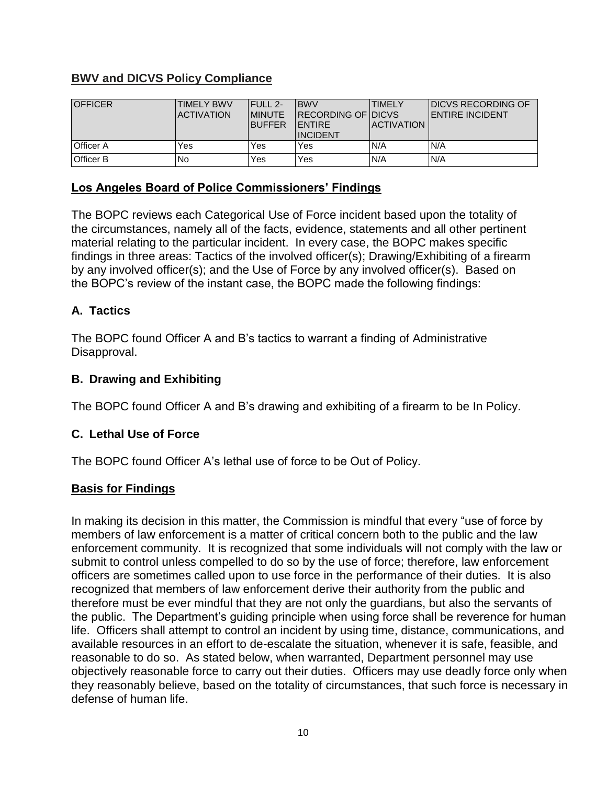## **BWV and DICVS Policy Compliance**

| <b>OFFICER</b>   | <b>TIMELY BWV</b><br><b>ACTIVATION</b> | <b>FULL 2-</b><br><b>IMINUTE</b><br><b>BUFFER</b> | <b>BWV</b><br><b>RECORDING OF DICVS</b><br><b>IENTIRE</b><br><b>INCIDENT</b> | <b>TIMELY</b><br><b>IACTIVATION</b> | <b>IDICVS RECORDING OF</b><br><b>IENTIRE INCIDENT</b> |
|------------------|----------------------------------------|---------------------------------------------------|------------------------------------------------------------------------------|-------------------------------------|-------------------------------------------------------|
| <b>Officer A</b> | Yes                                    | Yes                                               | Yes                                                                          | N/A                                 | N/A                                                   |
| <b>Officer B</b> | No                                     | Yes                                               | Yes                                                                          | N/A                                 | N/A                                                   |

### **Los Angeles Board of Police Commissioners' Findings**

The BOPC reviews each Categorical Use of Force incident based upon the totality of the circumstances, namely all of the facts, evidence, statements and all other pertinent material relating to the particular incident. In every case, the BOPC makes specific findings in three areas: Tactics of the involved officer(s); Drawing/Exhibiting of a firearm by any involved officer(s); and the Use of Force by any involved officer(s). Based on the BOPC's review of the instant case, the BOPC made the following findings:

### **A. Tactics**

The BOPC found Officer A and B's tactics to warrant a finding of Administrative Disapproval.

# **B. Drawing and Exhibiting**

The BOPC found Officer A and B's drawing and exhibiting of a firearm to be In Policy.

### **C. Lethal Use of Force**

The BOPC found Officer A's lethal use of force to be Out of Policy.

### **Basis for Findings**

In making its decision in this matter, the Commission is mindful that every "use of force by members of law enforcement is a matter of critical concern both to the public and the law enforcement community. It is recognized that some individuals will not comply with the law or submit to control unless compelled to do so by the use of force; therefore, law enforcement officers are sometimes called upon to use force in the performance of their duties. It is also recognized that members of law enforcement derive their authority from the public and therefore must be ever mindful that they are not only the guardians, but also the servants of the public. The Department's guiding principle when using force shall be reverence for human life. Officers shall attempt to control an incident by using time, distance, communications, and available resources in an effort to de-escalate the situation, whenever it is safe, feasible, and reasonable to do so. As stated below, when warranted, Department personnel may use objectively reasonable force to carry out their duties. Officers may use deadly force only when they reasonably believe, based on the totality of circumstances, that such force is necessary in defense of human life.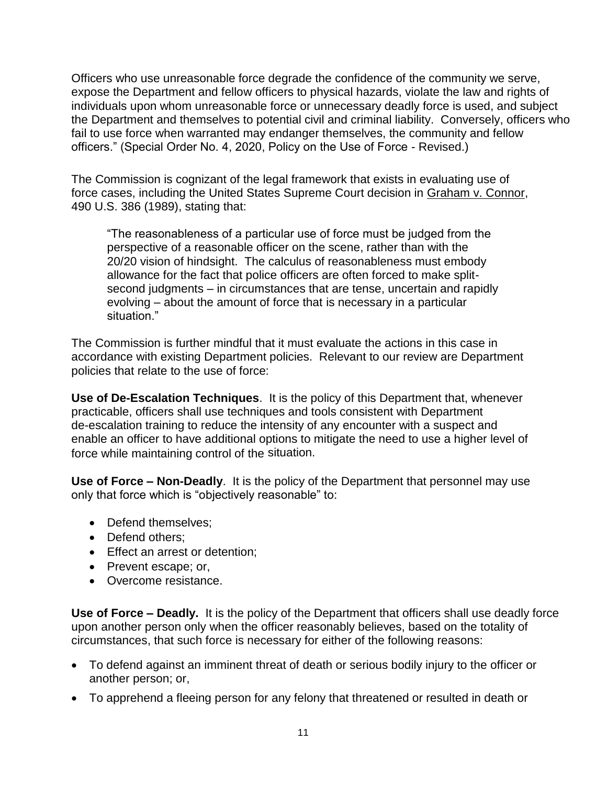Officers who use unreasonable force degrade the confidence of the community we serve, expose the Department and fellow officers to physical hazards, violate the law and rights of individuals upon whom unreasonable force or unnecessary deadly force is used, and subject the Department and themselves to potential civil and criminal liability. Conversely, officers who fail to use force when warranted may endanger themselves, the community and fellow officers." (Special Order No. 4, 2020, Policy on the Use of Force - Revised.)

The Commission is cognizant of the legal framework that exists in evaluating use of force cases, including the United States Supreme Court decision in Graham v. Connor, 490 U.S. 386 (1989), stating that:

"The reasonableness of a particular use of force must be judged from the perspective of a reasonable officer on the scene, rather than with the 20/20 vision of hindsight. The calculus of reasonableness must embody allowance for the fact that police officers are often forced to make splitsecond judgments – in circumstances that are tense, uncertain and rapidly evolving – about the amount of force that is necessary in a particular situation."

The Commission is further mindful that it must evaluate the actions in this case in accordance with existing Department policies. Relevant to our review are Department policies that relate to the use of force:

**Use of De-Escalation Techniques**. It is the policy of this Department that, whenever practicable, officers shall use techniques and tools consistent with Department de-escalation training to reduce the intensity of any encounter with a suspect and enable an officer to have additional options to mitigate the need to use a higher level of force while maintaining control of the situation.

**Use of Force – Non-Deadly**. It is the policy of the Department that personnel may use only that force which is "objectively reasonable" to:

- Defend themselves:
- Defend others:
- Effect an arrest or detention;
- Prevent escape; or,
- Overcome resistance.

**Use of Force – Deadly.** It is the policy of the Department that officers shall use deadly force upon another person only when the officer reasonably believes, based on the totality of circumstances, that such force is necessary for either of the following reasons:

- To defend against an imminent threat of death or serious bodily injury to the officer or another person; or,
- To apprehend a fleeing person for any felony that threatened or resulted in death or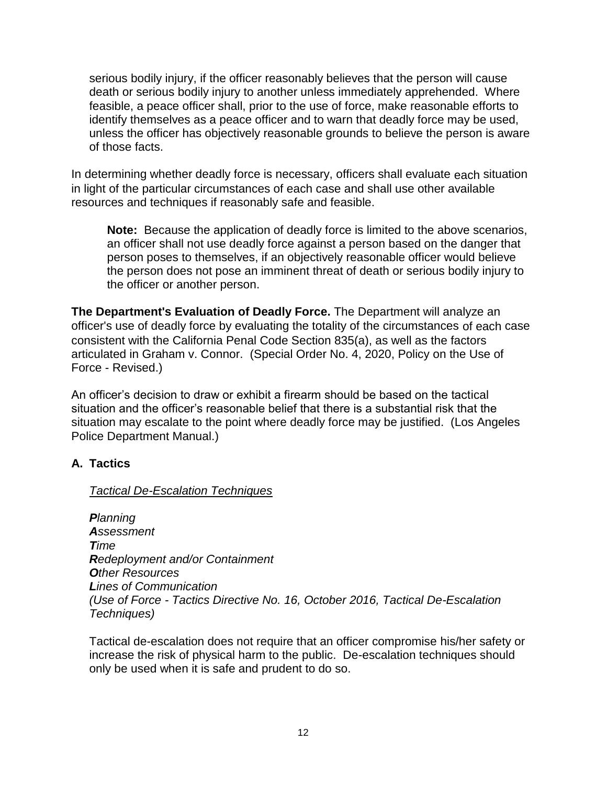serious bodily injury, if the officer reasonably believes that the person will cause death or serious bodily injury to another unless immediately apprehended. Where feasible, a peace officer shall, prior to the use of force, make reasonable efforts to identify themselves as a peace officer and to warn that deadly force may be used, unless the officer has objectively reasonable grounds to believe the person is aware of those facts.

In determining whether deadly force is necessary, officers shall evaluate each situation in light of the particular circumstances of each case and shall use other available resources and techniques if reasonably safe and feasible.

**Note:** Because the application of deadly force is limited to the above scenarios, an officer shall not use deadly force against a person based on the danger that person poses to themselves, if an objectively reasonable officer would believe the person does not pose an imminent threat of death or serious bodily injury to the officer or another person.

**The Department's Evaluation of Deadly Force.** The Department will analyze an officer's use of deadly force by evaluating the totality of the circumstances of each case consistent with the California Penal Code Section 835(a), as well as the factors articulated in Graham v. Connor. (Special Order No. 4, 2020, Policy on the Use of Force - Revised.)

An officer's decision to draw or exhibit a firearm should be based on the tactical situation and the officer's reasonable belief that there is a substantial risk that the situation may escalate to the point where deadly force may be justified. (Los Angeles Police Department Manual.)

### **A. Tactics**

### *Tactical De-Escalation Techniques*

*Planning Assessment Time Redeployment and/or Containment Other Resources Lines of Communication (Use of Force - Tactics Directive No. 16, October 2016, Tactical De-Escalation Techniques)*

Tactical de-escalation does not require that an officer compromise his/her safety or increase the risk of physical harm to the public. De-escalation techniques should only be used when it is safe and prudent to do so.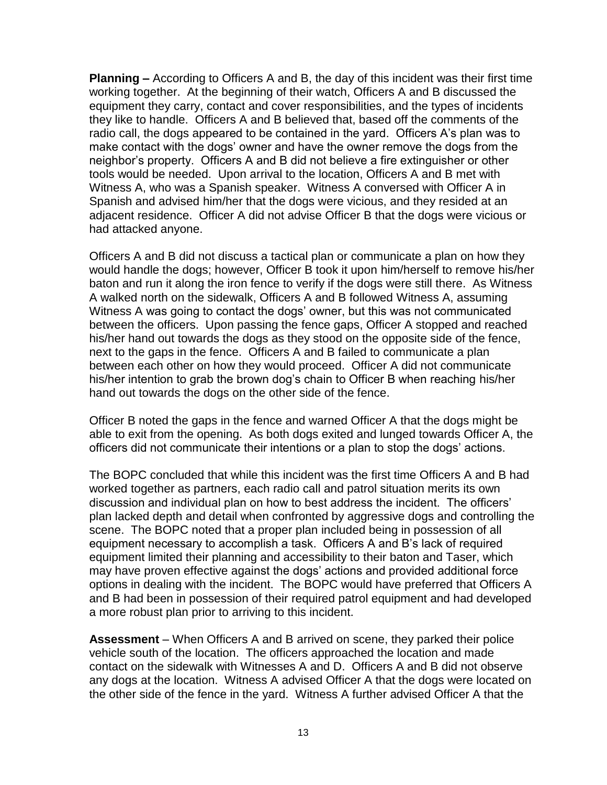**Planning –** According to Officers A and B, the day of this incident was their first time working together. At the beginning of their watch, Officers A and B discussed the equipment they carry, contact and cover responsibilities, and the types of incidents they like to handle. Officers A and B believed that, based off the comments of the radio call, the dogs appeared to be contained in the yard. Officers A's plan was to make contact with the dogs' owner and have the owner remove the dogs from the neighbor's property. Officers A and B did not believe a fire extinguisher or other tools would be needed. Upon arrival to the location, Officers A and B met with Witness A, who was a Spanish speaker. Witness A conversed with Officer A in Spanish and advised him/her that the dogs were vicious, and they resided at an adjacent residence. Officer A did not advise Officer B that the dogs were vicious or had attacked anyone.

Officers A and B did not discuss a tactical plan or communicate a plan on how they would handle the dogs; however, Officer B took it upon him/herself to remove his/her baton and run it along the iron fence to verify if the dogs were still there. As Witness A walked north on the sidewalk, Officers A and B followed Witness A, assuming Witness A was going to contact the dogs' owner, but this was not communicated between the officers. Upon passing the fence gaps, Officer A stopped and reached his/her hand out towards the dogs as they stood on the opposite side of the fence, next to the gaps in the fence. Officers A and B failed to communicate a plan between each other on how they would proceed. Officer A did not communicate his/her intention to grab the brown dog's chain to Officer B when reaching his/her hand out towards the dogs on the other side of the fence.

Officer B noted the gaps in the fence and warned Officer A that the dogs might be able to exit from the opening. As both dogs exited and lunged towards Officer A, the officers did not communicate their intentions or a plan to stop the dogs' actions.

The BOPC concluded that while this incident was the first time Officers A and B had worked together as partners, each radio call and patrol situation merits its own discussion and individual plan on how to best address the incident. The officers' plan lacked depth and detail when confronted by aggressive dogs and controlling the scene. The BOPC noted that a proper plan included being in possession of all equipment necessary to accomplish a task. Officers A and B's lack of required equipment limited their planning and accessibility to their baton and Taser, which may have proven effective against the dogs' actions and provided additional force options in dealing with the incident. The BOPC would have preferred that Officers A and B had been in possession of their required patrol equipment and had developed a more robust plan prior to arriving to this incident.

**Assessment** – When Officers A and B arrived on scene, they parked their police vehicle south of the location. The officers approached the location and made contact on the sidewalk with Witnesses A and D. Officers A and B did not observe any dogs at the location. Witness A advised Officer A that the dogs were located on the other side of the fence in the yard. Witness A further advised Officer A that the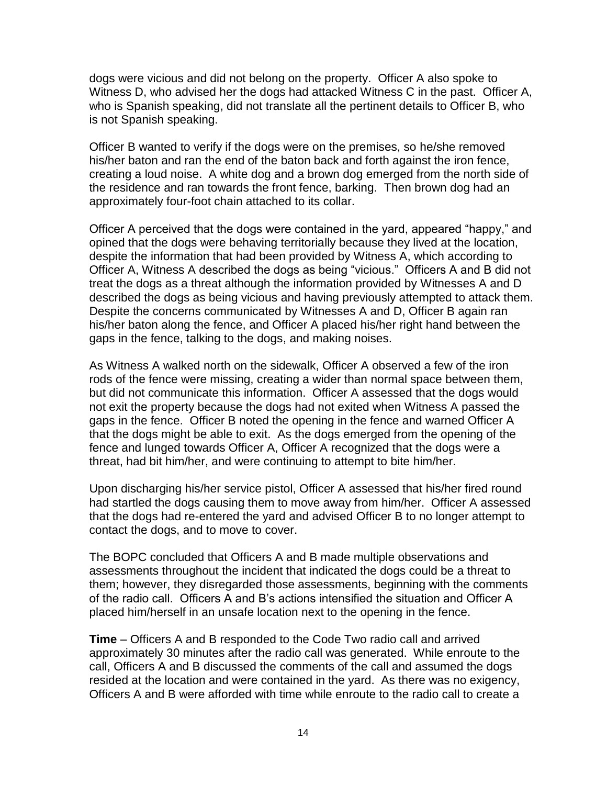dogs were vicious and did not belong on the property. Officer A also spoke to Witness D, who advised her the dogs had attacked Witness C in the past. Officer A, who is Spanish speaking, did not translate all the pertinent details to Officer B, who is not Spanish speaking.

Officer B wanted to verify if the dogs were on the premises, so he/she removed his/her baton and ran the end of the baton back and forth against the iron fence, creating a loud noise. A white dog and a brown dog emerged from the north side of the residence and ran towards the front fence, barking. Then brown dog had an approximately four-foot chain attached to its collar.

Officer A perceived that the dogs were contained in the yard, appeared "happy," and opined that the dogs were behaving territorially because they lived at the location, despite the information that had been provided by Witness A, which according to Officer A, Witness A described the dogs as being "vicious." Officers A and B did not treat the dogs as a threat although the information provided by Witnesses A and D described the dogs as being vicious and having previously attempted to attack them. Despite the concerns communicated by Witnesses A and D, Officer B again ran his/her baton along the fence, and Officer A placed his/her right hand between the gaps in the fence, talking to the dogs, and making noises.

As Witness A walked north on the sidewalk, Officer A observed a few of the iron rods of the fence were missing, creating a wider than normal space between them, but did not communicate this information. Officer A assessed that the dogs would not exit the property because the dogs had not exited when Witness A passed the gaps in the fence. Officer B noted the opening in the fence and warned Officer A that the dogs might be able to exit. As the dogs emerged from the opening of the fence and lunged towards Officer A, Officer A recognized that the dogs were a threat, had bit him/her, and were continuing to attempt to bite him/her.

Upon discharging his/her service pistol, Officer A assessed that his/her fired round had startled the dogs causing them to move away from him/her. Officer A assessed that the dogs had re-entered the yard and advised Officer B to no longer attempt to contact the dogs, and to move to cover.

The BOPC concluded that Officers A and B made multiple observations and assessments throughout the incident that indicated the dogs could be a threat to them; however, they disregarded those assessments, beginning with the comments of the radio call. Officers A and B's actions intensified the situation and Officer A placed him/herself in an unsafe location next to the opening in the fence.

**Time** – Officers A and B responded to the Code Two radio call and arrived approximately 30 minutes after the radio call was generated. While enroute to the call, Officers A and B discussed the comments of the call and assumed the dogs resided at the location and were contained in the yard. As there was no exigency, Officers A and B were afforded with time while enroute to the radio call to create a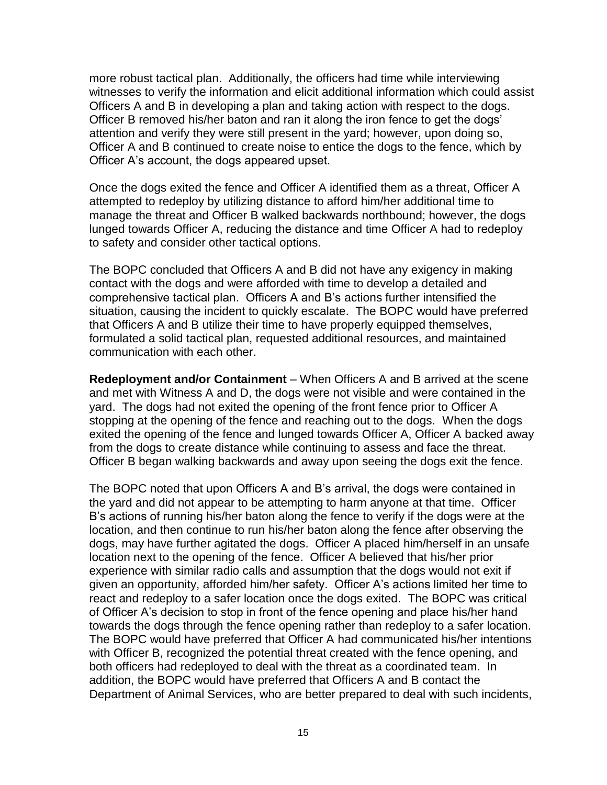more robust tactical plan. Additionally, the officers had time while interviewing witnesses to verify the information and elicit additional information which could assist Officers A and B in developing a plan and taking action with respect to the dogs. Officer B removed his/her baton and ran it along the iron fence to get the dogs' attention and verify they were still present in the yard; however, upon doing so, Officer A and B continued to create noise to entice the dogs to the fence, which by Officer A's account, the dogs appeared upset.

Once the dogs exited the fence and Officer A identified them as a threat, Officer A attempted to redeploy by utilizing distance to afford him/her additional time to manage the threat and Officer B walked backwards northbound; however, the dogs lunged towards Officer A, reducing the distance and time Officer A had to redeploy to safety and consider other tactical options.

The BOPC concluded that Officers A and B did not have any exigency in making contact with the dogs and were afforded with time to develop a detailed and comprehensive tactical plan. Officers A and B's actions further intensified the situation, causing the incident to quickly escalate. The BOPC would have preferred that Officers A and B utilize their time to have properly equipped themselves, formulated a solid tactical plan, requested additional resources, and maintained communication with each other.

**Redeployment and/or Containment** – When Officers A and B arrived at the scene and met with Witness A and D, the dogs were not visible and were contained in the yard. The dogs had not exited the opening of the front fence prior to Officer A stopping at the opening of the fence and reaching out to the dogs. When the dogs exited the opening of the fence and lunged towards Officer A, Officer A backed away from the dogs to create distance while continuing to assess and face the threat. Officer B began walking backwards and away upon seeing the dogs exit the fence.

The BOPC noted that upon Officers A and B's arrival, the dogs were contained in the yard and did not appear to be attempting to harm anyone at that time. Officer B's actions of running his/her baton along the fence to verify if the dogs were at the location, and then continue to run his/her baton along the fence after observing the dogs, may have further agitated the dogs. Officer A placed him/herself in an unsafe location next to the opening of the fence. Officer A believed that his/her prior experience with similar radio calls and assumption that the dogs would not exit if given an opportunity, afforded him/her safety. Officer A's actions limited her time to react and redeploy to a safer location once the dogs exited. The BOPC was critical of Officer A's decision to stop in front of the fence opening and place his/her hand towards the dogs through the fence opening rather than redeploy to a safer location. The BOPC would have preferred that Officer A had communicated his/her intentions with Officer B, recognized the potential threat created with the fence opening, and both officers had redeployed to deal with the threat as a coordinated team. In addition, the BOPC would have preferred that Officers A and B contact the Department of Animal Services, who are better prepared to deal with such incidents,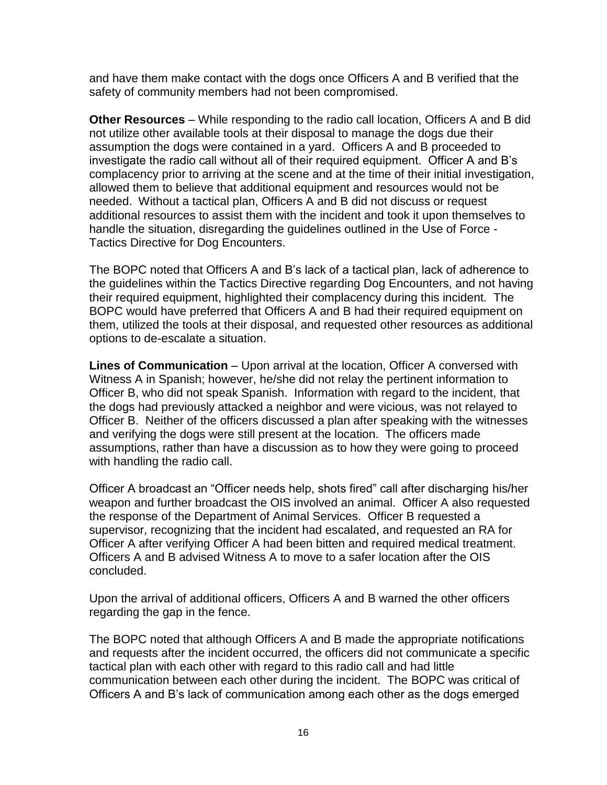and have them make contact with the dogs once Officers A and B verified that the safety of community members had not been compromised.

**Other Resources** – While responding to the radio call location, Officers A and B did not utilize other available tools at their disposal to manage the dogs due their assumption the dogs were contained in a yard. Officers A and B proceeded to investigate the radio call without all of their required equipment. Officer A and B's complacency prior to arriving at the scene and at the time of their initial investigation, allowed them to believe that additional equipment and resources would not be needed. Without a tactical plan, Officers A and B did not discuss or request additional resources to assist them with the incident and took it upon themselves to handle the situation, disregarding the guidelines outlined in the Use of Force - Tactics Directive for Dog Encounters.

The BOPC noted that Officers A and B's lack of a tactical plan, lack of adherence to the guidelines within the Tactics Directive regarding Dog Encounters, and not having their required equipment, highlighted their complacency during this incident. The BOPC would have preferred that Officers A and B had their required equipment on them, utilized the tools at their disposal, and requested other resources as additional options to de-escalate a situation.

**Lines of Communication** – Upon arrival at the location, Officer A conversed with Witness A in Spanish; however, he/she did not relay the pertinent information to Officer B, who did not speak Spanish. Information with regard to the incident, that the dogs had previously attacked a neighbor and were vicious, was not relayed to Officer B. Neither of the officers discussed a plan after speaking with the witnesses and verifying the dogs were still present at the location. The officers made assumptions, rather than have a discussion as to how they were going to proceed with handling the radio call.

Officer A broadcast an "Officer needs help, shots fired" call after discharging his/her weapon and further broadcast the OIS involved an animal. Officer A also requested the response of the Department of Animal Services. Officer B requested a supervisor, recognizing that the incident had escalated, and requested an RA for Officer A after verifying Officer A had been bitten and required medical treatment. Officers A and B advised Witness A to move to a safer location after the OIS concluded.

Upon the arrival of additional officers, Officers A and B warned the other officers regarding the gap in the fence.

The BOPC noted that although Officers A and B made the appropriate notifications and requests after the incident occurred, the officers did not communicate a specific tactical plan with each other with regard to this radio call and had little communication between each other during the incident. The BOPC was critical of Officers A and B's lack of communication among each other as the dogs emerged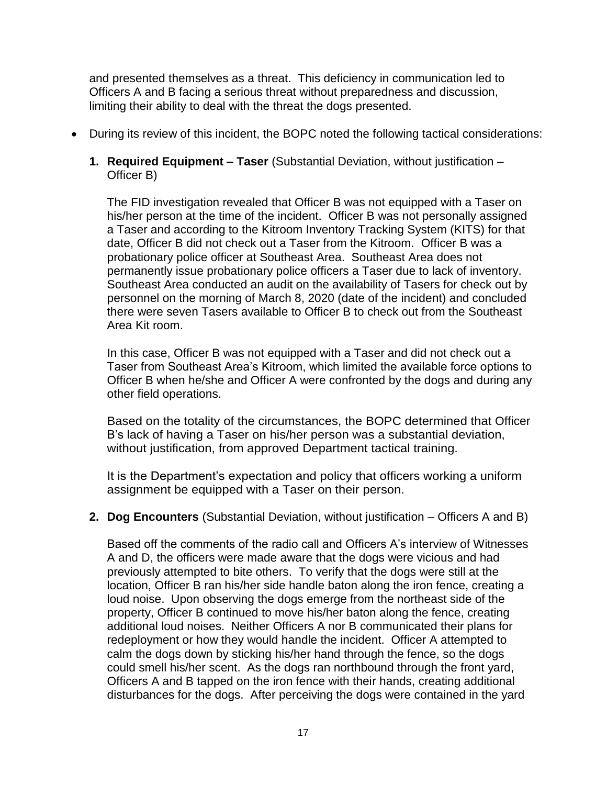and presented themselves as a threat. This deficiency in communication led to Officers A and B facing a serious threat without preparedness and discussion, limiting their ability to deal with the threat the dogs presented.

- During its review of this incident, the BOPC noted the following tactical considerations:
	- **1. Required Equipment – Taser** (Substantial Deviation, without justification Officer B)

The FID investigation revealed that Officer B was not equipped with a Taser on his/her person at the time of the incident. Officer B was not personally assigned a Taser and according to the Kitroom Inventory Tracking System (KITS) for that date, Officer B did not check out a Taser from the Kitroom. Officer B was a probationary police officer at Southeast Area. Southeast Area does not permanently issue probationary police officers a Taser due to lack of inventory. Southeast Area conducted an audit on the availability of Tasers for check out by personnel on the morning of March 8, 2020 (date of the incident) and concluded there were seven Tasers available to Officer B to check out from the Southeast Area Kit room.

In this case, Officer B was not equipped with a Taser and did not check out a Taser from Southeast Area's Kitroom, which limited the available force options to Officer B when he/she and Officer A were confronted by the dogs and during any other field operations.

Based on the totality of the circumstances, the BOPC determined that Officer B's lack of having a Taser on his/her person was a substantial deviation, without justification, from approved Department tactical training.

It is the Department's expectation and policy that officers working a uniform assignment be equipped with a Taser on their person.

#### **2. Dog Encounters** (Substantial Deviation, without justification – Officers A and B)

Based off the comments of the radio call and Officers A's interview of Witnesses A and D, the officers were made aware that the dogs were vicious and had previously attempted to bite others. To verify that the dogs were still at the location, Officer B ran his/her side handle baton along the iron fence, creating a loud noise. Upon observing the dogs emerge from the northeast side of the property, Officer B continued to move his/her baton along the fence, creating additional loud noises. Neither Officers A nor B communicated their plans for redeployment or how they would handle the incident. Officer A attempted to calm the dogs down by sticking his/her hand through the fence, so the dogs could smell his/her scent. As the dogs ran northbound through the front yard, Officers A and B tapped on the iron fence with their hands, creating additional disturbances for the dogs. After perceiving the dogs were contained in the yard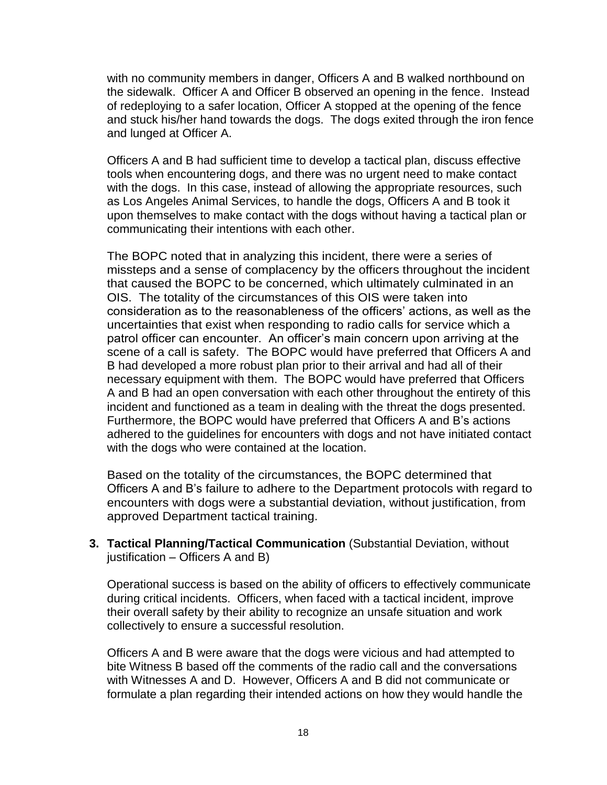with no community members in danger, Officers A and B walked northbound on the sidewalk. Officer A and Officer B observed an opening in the fence. Instead of redeploying to a safer location, Officer A stopped at the opening of the fence and stuck his/her hand towards the dogs. The dogs exited through the iron fence and lunged at Officer A.

Officers A and B had sufficient time to develop a tactical plan, discuss effective tools when encountering dogs, and there was no urgent need to make contact with the dogs. In this case, instead of allowing the appropriate resources, such as Los Angeles Animal Services, to handle the dogs, Officers A and B took it upon themselves to make contact with the dogs without having a tactical plan or communicating their intentions with each other.

The BOPC noted that in analyzing this incident, there were a series of missteps and a sense of complacency by the officers throughout the incident that caused the BOPC to be concerned, which ultimately culminated in an OIS. The totality of the circumstances of this OIS were taken into consideration as to the reasonableness of the officers' actions, as well as the uncertainties that exist when responding to radio calls for service which a patrol officer can encounter. An officer's main concern upon arriving at the scene of a call is safety. The BOPC would have preferred that Officers A and B had developed a more robust plan prior to their arrival and had all of their necessary equipment with them. The BOPC would have preferred that Officers A and B had an open conversation with each other throughout the entirety of this incident and functioned as a team in dealing with the threat the dogs presented. Furthermore, the BOPC would have preferred that Officers A and B's actions adhered to the guidelines for encounters with dogs and not have initiated contact with the dogs who were contained at the location.

Based on the totality of the circumstances, the BOPC determined that Officers A and B's failure to adhere to the Department protocols with regard to encounters with dogs were a substantial deviation, without justification, from approved Department tactical training.

**3. Tactical Planning/Tactical Communication** (Substantial Deviation, without justification – Officers A and B)

Operational success is based on the ability of officers to effectively communicate during critical incidents. Officers, when faced with a tactical incident, improve their overall safety by their ability to recognize an unsafe situation and work collectively to ensure a successful resolution.

Officers A and B were aware that the dogs were vicious and had attempted to bite Witness B based off the comments of the radio call and the conversations with Witnesses A and D. However, Officers A and B did not communicate or formulate a plan regarding their intended actions on how they would handle the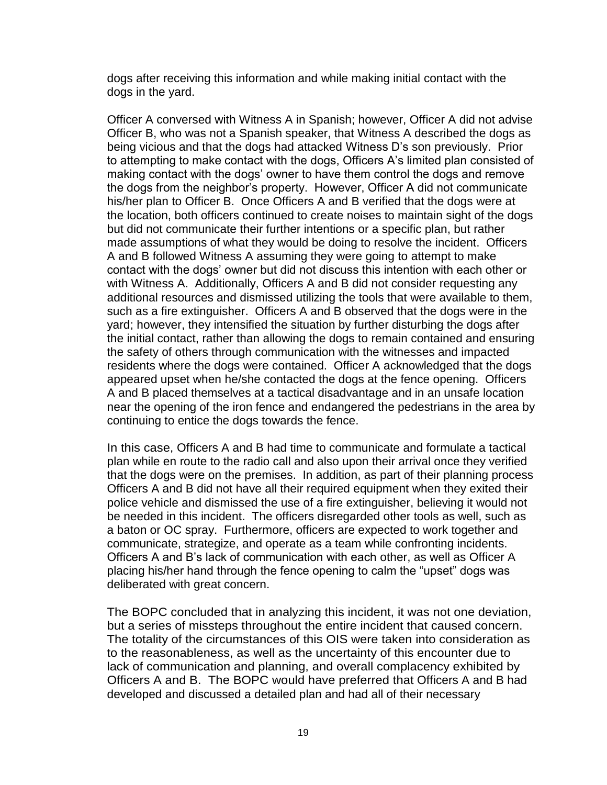dogs after receiving this information and while making initial contact with the dogs in the yard.

Officer A conversed with Witness A in Spanish; however, Officer A did not advise Officer B, who was not a Spanish speaker, that Witness A described the dogs as being vicious and that the dogs had attacked Witness D's son previously. Prior to attempting to make contact with the dogs, Officers A's limited plan consisted of making contact with the dogs' owner to have them control the dogs and remove the dogs from the neighbor's property. However, Officer A did not communicate his/her plan to Officer B. Once Officers A and B verified that the dogs were at the location, both officers continued to create noises to maintain sight of the dogs but did not communicate their further intentions or a specific plan, but rather made assumptions of what they would be doing to resolve the incident. Officers A and B followed Witness A assuming they were going to attempt to make contact with the dogs' owner but did not discuss this intention with each other or with Witness A. Additionally, Officers A and B did not consider requesting any additional resources and dismissed utilizing the tools that were available to them, such as a fire extinguisher. Officers A and B observed that the dogs were in the yard; however, they intensified the situation by further disturbing the dogs after the initial contact, rather than allowing the dogs to remain contained and ensuring the safety of others through communication with the witnesses and impacted residents where the dogs were contained. Officer A acknowledged that the dogs appeared upset when he/she contacted the dogs at the fence opening. Officers A and B placed themselves at a tactical disadvantage and in an unsafe location near the opening of the iron fence and endangered the pedestrians in the area by continuing to entice the dogs towards the fence.

In this case, Officers A and B had time to communicate and formulate a tactical plan while en route to the radio call and also upon their arrival once they verified that the dogs were on the premises. In addition, as part of their planning process Officers A and B did not have all their required equipment when they exited their police vehicle and dismissed the use of a fire extinguisher, believing it would not be needed in this incident. The officers disregarded other tools as well, such as a baton or OC spray. Furthermore, officers are expected to work together and communicate, strategize, and operate as a team while confronting incidents. Officers A and B's lack of communication with each other, as well as Officer A placing his/her hand through the fence opening to calm the "upset" dogs was deliberated with great concern.

The BOPC concluded that in analyzing this incident, it was not one deviation, but a series of missteps throughout the entire incident that caused concern. The totality of the circumstances of this OIS were taken into consideration as to the reasonableness, as well as the uncertainty of this encounter due to lack of communication and planning, and overall complacency exhibited by Officers A and B. The BOPC would have preferred that Officers A and B had developed and discussed a detailed plan and had all of their necessary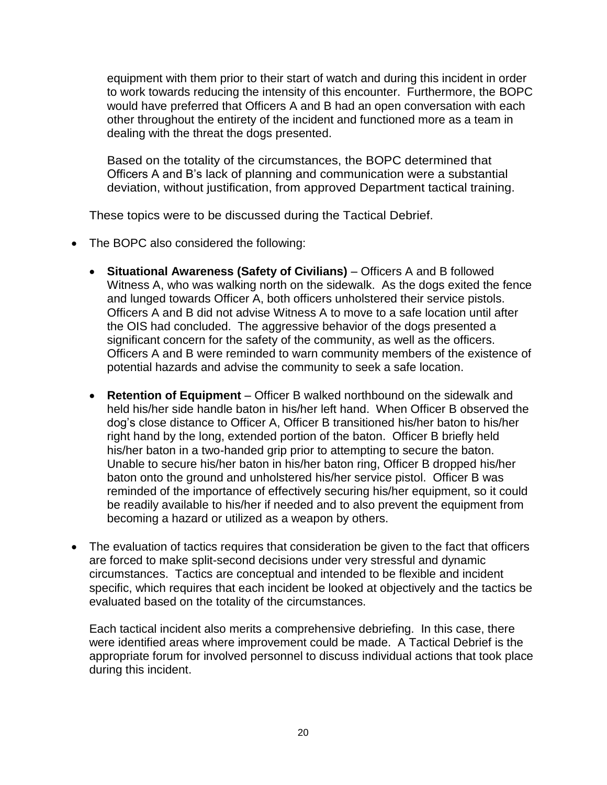equipment with them prior to their start of watch and during this incident in order to work towards reducing the intensity of this encounter. Furthermore, the BOPC would have preferred that Officers A and B had an open conversation with each other throughout the entirety of the incident and functioned more as a team in dealing with the threat the dogs presented.

Based on the totality of the circumstances, the BOPC determined that Officers A and B's lack of planning and communication were a substantial deviation, without justification, from approved Department tactical training.

These topics were to be discussed during the Tactical Debrief.

- The BOPC also considered the following:
	- **Situational Awareness (Safety of Civilians)** Officers A and B followed Witness A, who was walking north on the sidewalk. As the dogs exited the fence and lunged towards Officer A, both officers unholstered their service pistols. Officers A and B did not advise Witness A to move to a safe location until after the OIS had concluded. The aggressive behavior of the dogs presented a significant concern for the safety of the community, as well as the officers. Officers A and B were reminded to warn community members of the existence of potential hazards and advise the community to seek a safe location.
	- **Retention of Equipment**  Officer B walked northbound on the sidewalk and held his/her side handle baton in his/her left hand. When Officer B observed the dog's close distance to Officer A, Officer B transitioned his/her baton to his/her right hand by the long, extended portion of the baton. Officer B briefly held his/her baton in a two-handed grip prior to attempting to secure the baton. Unable to secure his/her baton in his/her baton ring, Officer B dropped his/her baton onto the ground and unholstered his/her service pistol. Officer B was reminded of the importance of effectively securing his/her equipment, so it could be readily available to his/her if needed and to also prevent the equipment from becoming a hazard or utilized as a weapon by others.
- The evaluation of tactics requires that consideration be given to the fact that officers are forced to make split-second decisions under very stressful and dynamic circumstances. Tactics are conceptual and intended to be flexible and incident specific, which requires that each incident be looked at objectively and the tactics be evaluated based on the totality of the circumstances.

Each tactical incident also merits a comprehensive debriefing. In this case, there were identified areas where improvement could be made. A Tactical Debrief is the appropriate forum for involved personnel to discuss individual actions that took place during this incident.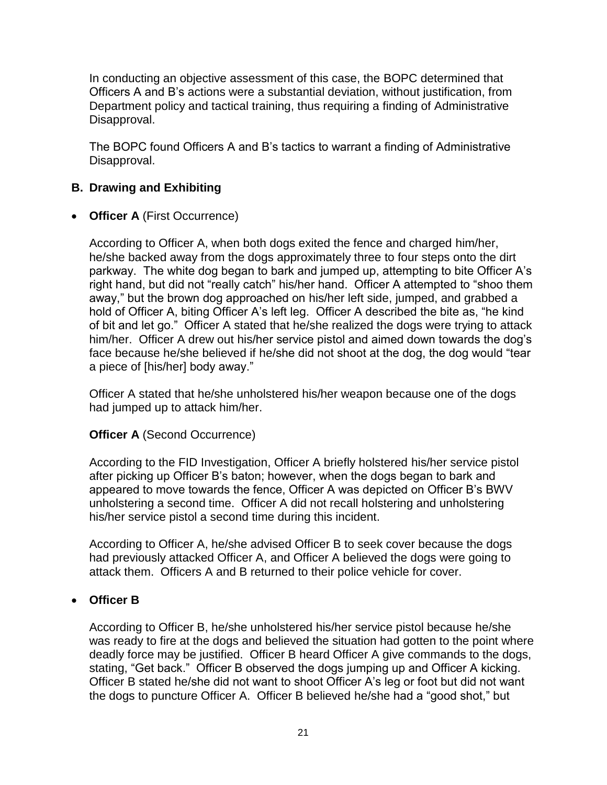In conducting an objective assessment of this case, the BOPC determined that Officers A and B's actions were a substantial deviation, without justification, from Department policy and tactical training, thus requiring a finding of Administrative Disapproval.

The BOPC found Officers A and B's tactics to warrant a finding of Administrative Disapproval.

# **B. Drawing and Exhibiting**

• **Officer A** (First Occurrence)

According to Officer A, when both dogs exited the fence and charged him/her, he/she backed away from the dogs approximately three to four steps onto the dirt parkway. The white dog began to bark and jumped up, attempting to bite Officer A's right hand, but did not "really catch" his/her hand. Officer A attempted to "shoo them away," but the brown dog approached on his/her left side, jumped, and grabbed a hold of Officer A, biting Officer A's left leg. Officer A described the bite as, "he kind of bit and let go." Officer A stated that he/she realized the dogs were trying to attack him/her. Officer A drew out his/her service pistol and aimed down towards the dog's face because he/she believed if he/she did not shoot at the dog, the dog would "tear a piece of [his/her] body away."

Officer A stated that he/she unholstered his/her weapon because one of the dogs had jumped up to attack him/her.

### **Officer A (Second Occurrence)**

According to the FID Investigation, Officer A briefly holstered his/her service pistol after picking up Officer B's baton; however, when the dogs began to bark and appeared to move towards the fence, Officer A was depicted on Officer B's BWV unholstering a second time. Officer A did not recall holstering and unholstering his/her service pistol a second time during this incident.

According to Officer A, he/she advised Officer B to seek cover because the dogs had previously attacked Officer A, and Officer A believed the dogs were going to attack them. Officers A and B returned to their police vehicle for cover.

### • **Officer B**

According to Officer B, he/she unholstered his/her service pistol because he/she was ready to fire at the dogs and believed the situation had gotten to the point where deadly force may be justified. Officer B heard Officer A give commands to the dogs, stating, "Get back." Officer B observed the dogs jumping up and Officer A kicking. Officer B stated he/she did not want to shoot Officer A's leg or foot but did not want the dogs to puncture Officer A. Officer B believed he/she had a "good shot," but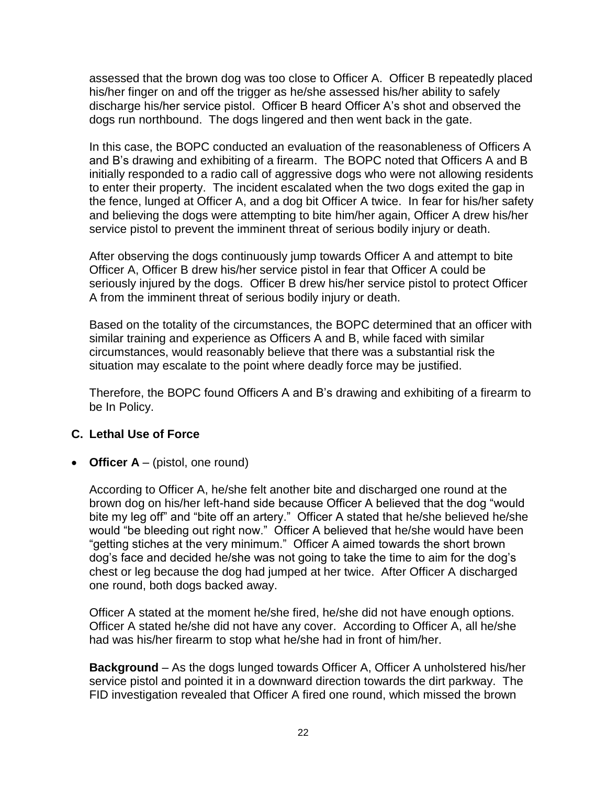assessed that the brown dog was too close to Officer A. Officer B repeatedly placed his/her finger on and off the trigger as he/she assessed his/her ability to safely discharge his/her service pistol. Officer B heard Officer A's shot and observed the dogs run northbound. The dogs lingered and then went back in the gate.

In this case, the BOPC conducted an evaluation of the reasonableness of Officers A and B's drawing and exhibiting of a firearm. The BOPC noted that Officers A and B initially responded to a radio call of aggressive dogs who were not allowing residents to enter their property. The incident escalated when the two dogs exited the gap in the fence, lunged at Officer A, and a dog bit Officer A twice. In fear for his/her safety and believing the dogs were attempting to bite him/her again, Officer A drew his/her service pistol to prevent the imminent threat of serious bodily injury or death.

After observing the dogs continuously jump towards Officer A and attempt to bite Officer A, Officer B drew his/her service pistol in fear that Officer A could be seriously injured by the dogs. Officer B drew his/her service pistol to protect Officer A from the imminent threat of serious bodily injury or death.

Based on the totality of the circumstances, the BOPC determined that an officer with similar training and experience as Officers A and B, while faced with similar circumstances, would reasonably believe that there was a substantial risk the situation may escalate to the point where deadly force may be justified.

Therefore, the BOPC found Officers A and B's drawing and exhibiting of a firearm to be In Policy.

### **C. Lethal Use of Force**

• **Officer A** – (pistol, one round)

According to Officer A, he/she felt another bite and discharged one round at the brown dog on his/her left-hand side because Officer A believed that the dog "would bite my leg off" and "bite off an artery." Officer A stated that he/she believed he/she would "be bleeding out right now." Officer A believed that he/she would have been "getting stiches at the very minimum." Officer A aimed towards the short brown dog's face and decided he/she was not going to take the time to aim for the dog's chest or leg because the dog had jumped at her twice. After Officer A discharged one round, both dogs backed away.

Officer A stated at the moment he/she fired, he/she did not have enough options. Officer A stated he/she did not have any cover. According to Officer A, all he/she had was his/her firearm to stop what he/she had in front of him/her.

**Background** – As the dogs lunged towards Officer A, Officer A unholstered his/her service pistol and pointed it in a downward direction towards the dirt parkway. The FID investigation revealed that Officer A fired one round, which missed the brown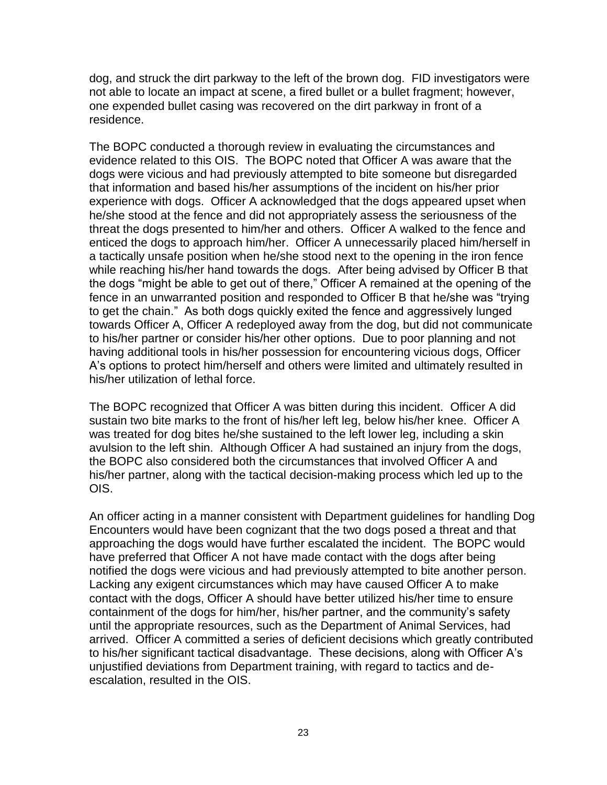dog, and struck the dirt parkway to the left of the brown dog. FID investigators were not able to locate an impact at scene, a fired bullet or a bullet fragment; however, one expended bullet casing was recovered on the dirt parkway in front of a residence.

The BOPC conducted a thorough review in evaluating the circumstances and evidence related to this OIS. The BOPC noted that Officer A was aware that the dogs were vicious and had previously attempted to bite someone but disregarded that information and based his/her assumptions of the incident on his/her prior experience with dogs. Officer A acknowledged that the dogs appeared upset when he/she stood at the fence and did not appropriately assess the seriousness of the threat the dogs presented to him/her and others. Officer A walked to the fence and enticed the dogs to approach him/her. Officer A unnecessarily placed him/herself in a tactically unsafe position when he/she stood next to the opening in the iron fence while reaching his/her hand towards the dogs. After being advised by Officer B that the dogs "might be able to get out of there," Officer A remained at the opening of the fence in an unwarranted position and responded to Officer B that he/she was "trying to get the chain." As both dogs quickly exited the fence and aggressively lunged towards Officer A, Officer A redeployed away from the dog, but did not communicate to his/her partner or consider his/her other options. Due to poor planning and not having additional tools in his/her possession for encountering vicious dogs, Officer A's options to protect him/herself and others were limited and ultimately resulted in his/her utilization of lethal force.

The BOPC recognized that Officer A was bitten during this incident. Officer A did sustain two bite marks to the front of his/her left leg, below his/her knee. Officer A was treated for dog bites he/she sustained to the left lower leg, including a skin avulsion to the left shin. Although Officer A had sustained an injury from the dogs, the BOPC also considered both the circumstances that involved Officer A and his/her partner, along with the tactical decision-making process which led up to the OIS.

An officer acting in a manner consistent with Department guidelines for handling Dog Encounters would have been cognizant that the two dogs posed a threat and that approaching the dogs would have further escalated the incident. The BOPC would have preferred that Officer A not have made contact with the dogs after being notified the dogs were vicious and had previously attempted to bite another person. Lacking any exigent circumstances which may have caused Officer A to make contact with the dogs, Officer A should have better utilized his/her time to ensure containment of the dogs for him/her, his/her partner, and the community's safety until the appropriate resources, such as the Department of Animal Services, had arrived. Officer A committed a series of deficient decisions which greatly contributed to his/her significant tactical disadvantage. These decisions, along with Officer A's unjustified deviations from Department training, with regard to tactics and deescalation, resulted in the OIS.